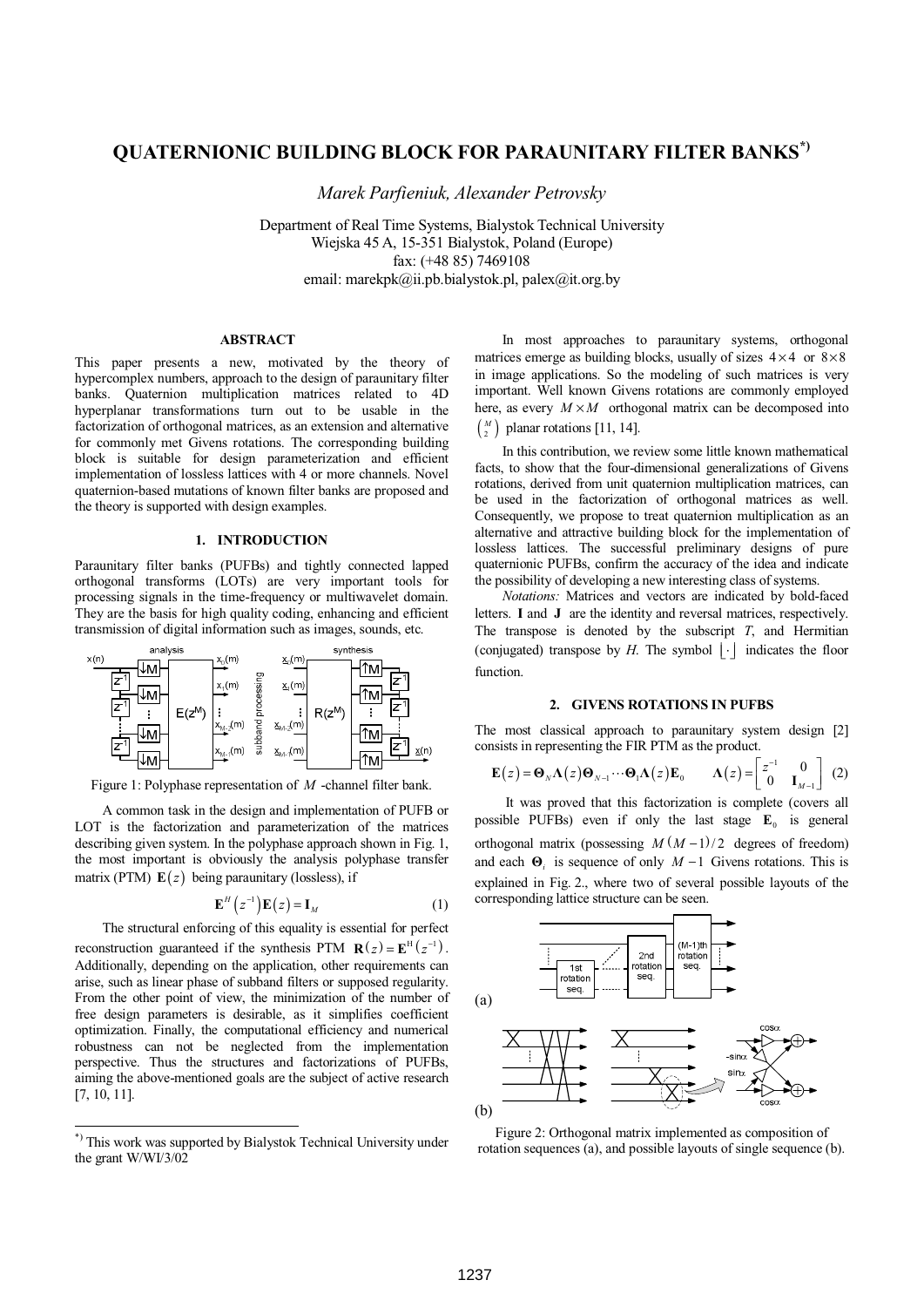# **QUATERNIONIC BUILDING BLOCK FOR PARAUNITARY FILTER BANKS\*)**

*Marek Parfieniuk, Alexander Petrovsky* 

Department of Real Time Systems, Bialystok Technical University Wiejska 45 A, 15-351 Bialystok, Poland (Europe) fax: (+48 85) 7469108 email: marekpk@ii.pb.bialystok.pl, palex@it.org.by

### **ABSTRACT\*)**

This paper presents a new, motivated by the theory of hypercomplex numbers, approach to the design of paraunitary filter banks. Quaternion multiplication matrices related to 4D hyperplanar transformations turn out to be usable in the factorization of orthogonal matrices, as an extension and alternative for commonly met Givens rotations. The corresponding building block is suitable for design parameterization and efficient implementation of lossless lattices with 4 or more channels. Novel quaternion-based mutations of known filter banks are proposed and the theory is supported with design examples.

#### **1. INTRODUCTION**

Paraunitary filter banks (PUFBs) and tightly connected lapped orthogonal transforms (LOTs) are very important tools for processing signals in the time-frequency or multiwavelet domain. They are the basis for high quality coding, enhancing and efficient transmission of digital information such as images, sounds, etc.



Figure 1: Polyphase representation of *M* -channel filter bank.

A common task in the design and implementation of PUFB or LOT is the factorization and parameterization of the matrices describing given system. In the polyphase approach shown in Fig. 1, the most important is obviously the analysis polyphase transfer matrix (PTM)  $E(z)$  being paraunitary (lossless), if

$$
\mathbf{E}^{H}\left(z^{-1}\right)\mathbf{E}\left(z\right) = \mathbf{I}_{M} \tag{1}
$$

The structural enforcing of this equality is essential for perfect reconstruction guaranteed if the synthesis PTM  $\mathbf{R}(z) = \mathbf{E}^{\text{H}}(z^{-1})$ . Additionally, depending on the application, other requirements can arise, such as linear phase of subband filters or supposed regularity. From the other point of view, the minimization of the number of free design parameters is desirable, as it simplifies coefficient optimization. Finally, the computational efficiency and numerical robustness can not be neglected from the implementation perspective. Thus the structures and factorizations of PUFBs, aiming the above-mentioned goals are the subject of active research [7, 10, 11].

-

In most approaches to paraunitary systems, orthogonal matrices emerge as building blocks, usually of sizes  $4 \times 4$  or  $8 \times 8$ in image applications. So the modeling of such matrices is very important. Well known Givens rotations are commonly employed here, as every  $M \times M$  orthogonal matrix can be decomposed into

# $\binom{M}{2}$  planar rotations [11, 14].

In this contribution, we review some little known mathematical facts, to show that the four-dimensional generalizations of Givens rotations, derived from unit quaternion multiplication matrices, can be used in the factorization of orthogonal matrices as well. Consequently, we propose to treat quaternion multiplication as an alternative and attractive building block for the implementation of lossless lattices. The successful preliminary designs of pure quaternionic PUFBs, confirm the accuracy of the idea and indicate the possibility of developing a new interesting class of systems.

*Notations:* Matrices and vectors are indicated by bold-faced letters. **I** and **J** are the identity and reversal matrices, respectively. The transpose is denoted by the subscript *T*, and Hermitian (conjugated) transpose by  $H$ . The symbol  $|\cdot|$  indicates the floor function.

#### **2. GIVENS ROTATIONS IN PUFBS**

The most classical approach to paraunitary system design [2] consists in representing the FIR PTM as the product.

$$
\mathbf{E}(z) = \mathbf{\Theta}_N \mathbf{\Lambda}(z) \mathbf{\Theta}_{N-1} \cdots \mathbf{\Theta}_1 \mathbf{\Lambda}(z) \mathbf{E}_0 \qquad \mathbf{\Lambda}(z) = \begin{bmatrix} z^{-1} & 0 \\ 0 & \mathbf{I}_{M-1} \end{bmatrix} \tag{2}
$$

 It was proved that this factorization is complete (covers all possible PUFBs) even if only the last stage  $\mathbf{E}_0$  is general orthogonal matrix (possessing  $M(M-1)/2$  degrees of freedom) and each  $\Theta_i$  is sequence of only  $M-1$  Givens rotations. This is explained in Fig. 2., where two of several possible layouts of the corresponding lattice structure can be seen.



Figure 2: Orthogonal matrix implemented as composition of rotation sequences (a), and possible layouts of single sequence (b).

<sup>\*)</sup> This work was supported by Bialystok Technical University under the grant W/WI/3/02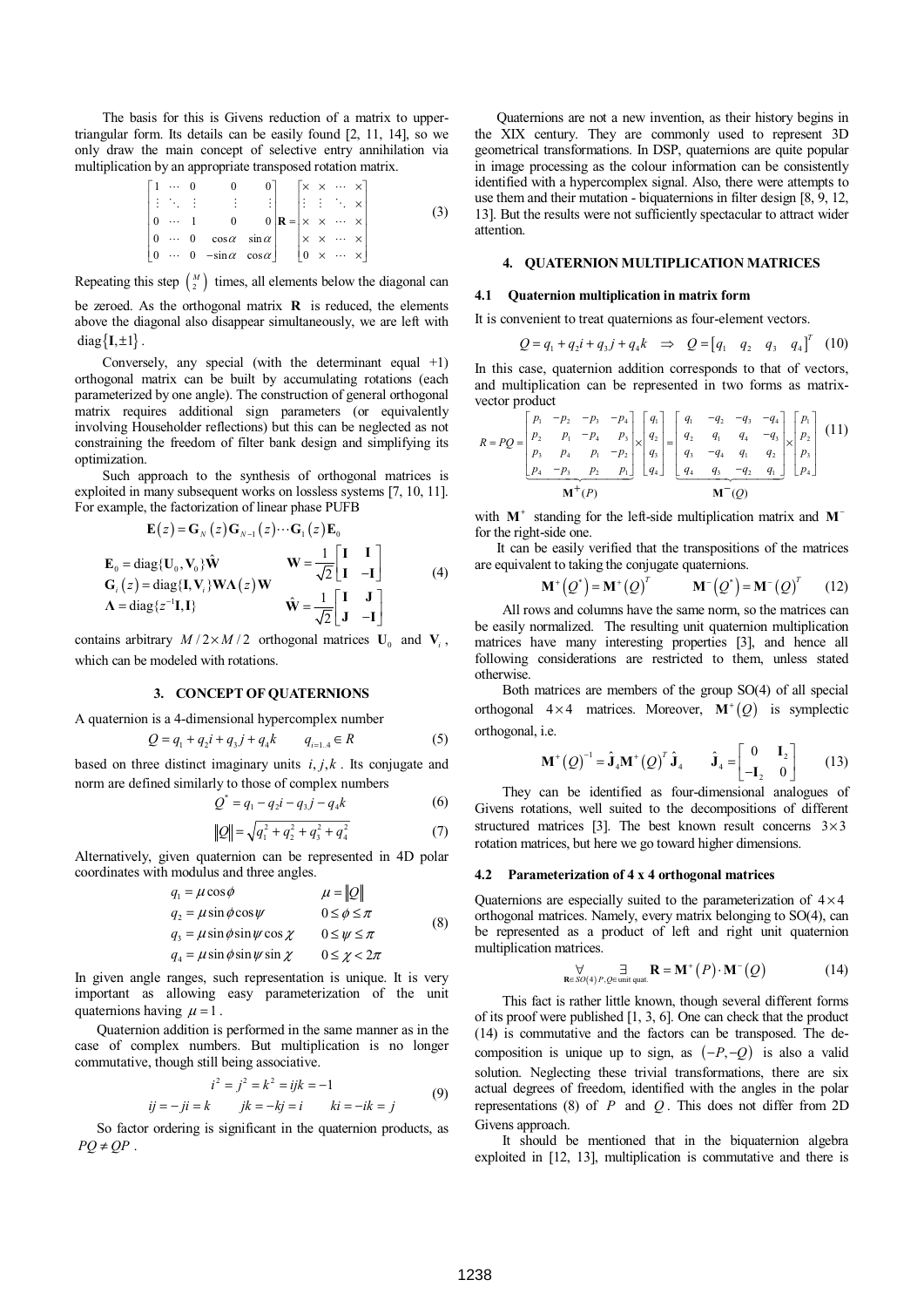The basis for this is Givens reduction of a matrix to uppertriangular form. Its details can be easily found [2, 11, 14], so we only draw the main concept of selective entry annihilation via multiplication by an appropriate transposed rotation matrix.

$$
\begin{bmatrix}\n1 & \cdots & 0 & 0 & 0 \\
\vdots & \ddots & \vdots & \vdots & \vdots \\
0 & \cdots & 1 & 0 & 0 \\
\cdots & 0 & \cos \alpha & \sin \alpha \\
0 & \cdots & 0 & -\sin \alpha & \cos \alpha\n\end{bmatrix}\n\mathbf{R} =\n\begin{bmatrix}\n\times & \times & \cdots & \times \\
\vdots & \vdots & \ddots & \times \\
\times & \times & \cdots & \times \\
\times & \times & \cdots & \times \\
0 & \times & \cdots & \times\n\end{bmatrix}
$$
\n(3)

Repeating this step  $\binom{M}{2}$  times, all elements below the diagonal can

be zeroed. As the orthogonal matrix **R** is reduced, the elements above the diagonal also disappear simultaneously, we are left with  $diag{I, \pm 1}.$ 

Conversely, any special (with the determinant equal +1) orthogonal matrix can be built by accumulating rotations (each parameterized by one angle). The construction of general orthogonal matrix requires additional sign parameters (or equivalently involving Householder reflections) but this can be neglected as not constraining the freedom of filter bank design and simplifying its optimization.

Such approach to the synthesis of orthogonal matrices is exploited in many subsequent works on lossless systems [7, 10, 11]. For example, the factorization of linear phase PUFB

$$
\mathbf{E}(z) = \mathbf{G}_{N}(z)\mathbf{G}_{N-1}(z)\cdots\mathbf{G}_{1}(z)\mathbf{E}_{0}
$$
\n
$$
\mathbf{E}_{0} = \text{diag}\{\mathbf{U}_{0}, \mathbf{V}_{0}\}\hat{\mathbf{W}} \qquad \mathbf{W} = \frac{1}{\sqrt{2}}\begin{bmatrix} \mathbf{I} & \mathbf{I} \\ \mathbf{I} & -\mathbf{I} \end{bmatrix}
$$
\n
$$
\mathbf{G}_{i}(z) = \text{diag}\{\mathbf{I}, \mathbf{V}_{i}\} \mathbf{W} \mathbf{\Lambda}(z) \mathbf{W}
$$
\n
$$
\hat{\mathbf{W}} = \frac{1}{\sqrt{2}}\begin{bmatrix} \mathbf{I} & \mathbf{J} \\ \mathbf{J} & -\mathbf{I} \end{bmatrix}
$$
\n(4)

contains arbitrary  $M/2 \times M/2$  orthogonal matrices  $\mathbf{U}_0$  and  $\mathbf{V}_i$ , which can be modeled with rotations.

#### **3. CONCEPT OF QUATERNIONS**

A quaternion is a 4-dimensional hypercomplex number

$$
Q = q_1 + q_2 i + q_3 j + q_4 k \qquad q_{i=1,4} \in R
$$
 (5)

based on three distinct imaginary units  $i, j, k$ . Its conjugate and norm are defined similarly to those of complex numbers

$$
Q^* = q_1 - q_2 i - q_3 j - q_4 k
$$
  
\n
$$
||Q|| = \sqrt{q_1^2 + q_2^2 + q_3^2 + q_4^2}
$$
 (6)

$$
\|\mathcal{Z}\| = \sqrt{q_1 + q_2 + q_3 + q_4}
$$
 (7)  
Alternatively, given quaternion can be represented in 4D polar coordinates with modulus and three angles.

$$
q_1 = \mu \cos \phi \qquad \qquad \mu = ||Q||
$$
  
\n
$$
q_2 = \mu \sin \phi \cos \psi \qquad 0 \le \phi \le \pi
$$
  
\n
$$
q_3 = \mu \sin \phi \sin \psi \cos \chi \qquad 0 \le \psi \le \pi
$$
  
\n
$$
q_4 = \mu \sin \phi \sin \psi \sin \chi \qquad 0 \le \chi < 2\pi
$$
 (8)

In given angle ranges, such representation is unique. It is very important as allowing easy parameterization of the unit quaternions having  $\mu = 1$ .

 Quaternion addition is performed in the same manner as in the case of complex numbers. But multiplication is no longer commutative, though still being associative.

$$
i2 = j2 = k2 = ijk = -1
$$
  
ij = -ji = k   
 jk = -kj = i   
ki = -ik = j (9)

 So factor ordering is significant in the quaternion products, as  $PQ \neq QP$ .

 Quaternions are not a new invention, as their history begins in the XIX century. They are commonly used to represent 3D geometrical transformations. In DSP, quaternions are quite popular in image processing as the colour information can be consistently identified with a hypercomplex signal. Also, there were attempts to use them and their mutation - biquaternions in filter design  $[8, 9, 12, 16]$ 13]. But the results were not sufficiently spectacular to attract wider attention.

#### **4. QUATERNION MULTIPLICATION MATRICES**

#### **4.1 Quaternion multiplication in matrix form**

It is convenient to treat quaternions as four-element vectors.

$$
Q = q_1 + q_2 i + q_3 j + q_4 k \Rightarrow Q = [q_1 \quad q_2 \quad q_3 \quad q_4]^T \quad (10)
$$

In this case, quaternion addition corresponds to that of vectors, and multiplication can be represented in two forms as matrixvector product

$$
R = PQ = \begin{bmatrix} p_1 & -p_2 & -p_3 & -p_4 \ p_2 & p_1 & -p_4 & p_3 \ p_3 & p_4 & p_1 & -p_2 \ p_4 & p_1 & -p_2 & q_3 \end{bmatrix} \begin{bmatrix} q_1 \\ q_2 \\ q_3 \\ q_4 \end{bmatrix} = \begin{bmatrix} q_1 & -q_2 & -q_3 & -q_4 \ q_2 & q_1 & q_4 & -q_3 \ q_3 & -q_4 & q_1 & q_2 \ q_4 & q_3 & -q_2 & q_1 \end{bmatrix} \times \begin{bmatrix} p_1 \\ p_2 \\ p_3 \\ p_4 \end{bmatrix}
$$
 (11)

with **M**<sup>+</sup> standing for the left-side multiplication matrix and **M**<sup>−</sup> for the right-side one.

 It can be easily verified that the transpositions of the matrices are equivalent to taking the conjugate quaternions.

$$
\mathbf{M}^+\left(Q^*\right) = \mathbf{M}^+\left(Q\right)^T \qquad \mathbf{M}^-\left(Q^*\right) = \mathbf{M}^-\left(Q\right)^T \qquad (12)
$$

All rows and columns have the same norm, so the matrices can be easily normalized. The resulting unit quaternion multiplication matrices have many interesting properties [3], and hence all following considerations are restricted to them, unless stated otherwise.

Both matrices are members of the group SO(4) of all special orthogonal  $4 \times 4$  matrices. Moreover,  $M^+(Q)$  is symplectic orthogonal, i.e.

$$
\mathbf{M}^+\left(Q\right)^{-1} = \hat{\mathbf{J}}_4 \mathbf{M}^+\left(Q\right)^T \hat{\mathbf{J}}_4 \qquad \hat{\mathbf{J}}_4 = \begin{bmatrix} 0 & \mathbf{I}_2 \\ -\mathbf{I}_2 & 0 \end{bmatrix} \tag{13}
$$

They can be identified as four-dimensional analogues of Givens rotations, well suited to the decompositions of different structured matrices [3]. The best known result concerns  $3 \times 3$ rotation matrices, but here we go toward higher dimensions.

#### **4.2 Parameterization of 4 x 4 orthogonal matrices**

Quaternions are especially suited to the parameterization of  $4 \times 4$ orthogonal matrices. Namely, every matrix belonging to SO(4), can be represented as a product of left and right unit quaternion multiplication matrices.

$$
\forall \underset{\mathbf{R} \in SO(4) \, P, Q \in \text{unit quat.}}{\exists} \mathbf{R} = \mathbf{M}^+(P) \cdot \mathbf{M}^-(Q) \tag{14}
$$

This fact is rather little known, though several different forms of its proof were published [1, 3, 6]. One can check that the product (14) is commutative and the factors can be transposed. The decomposition is unique up to sign, as  $(-P, -Q)$  is also a valid solution. Neglecting these trivial transformations, there are six actual degrees of freedom, identified with the angles in the polar representations (8) of *P* and *Q* . This does not differ from 2D Givens approach.

It should be mentioned that in the biquaternion algebra exploited in [12, 13], multiplication is commutative and there is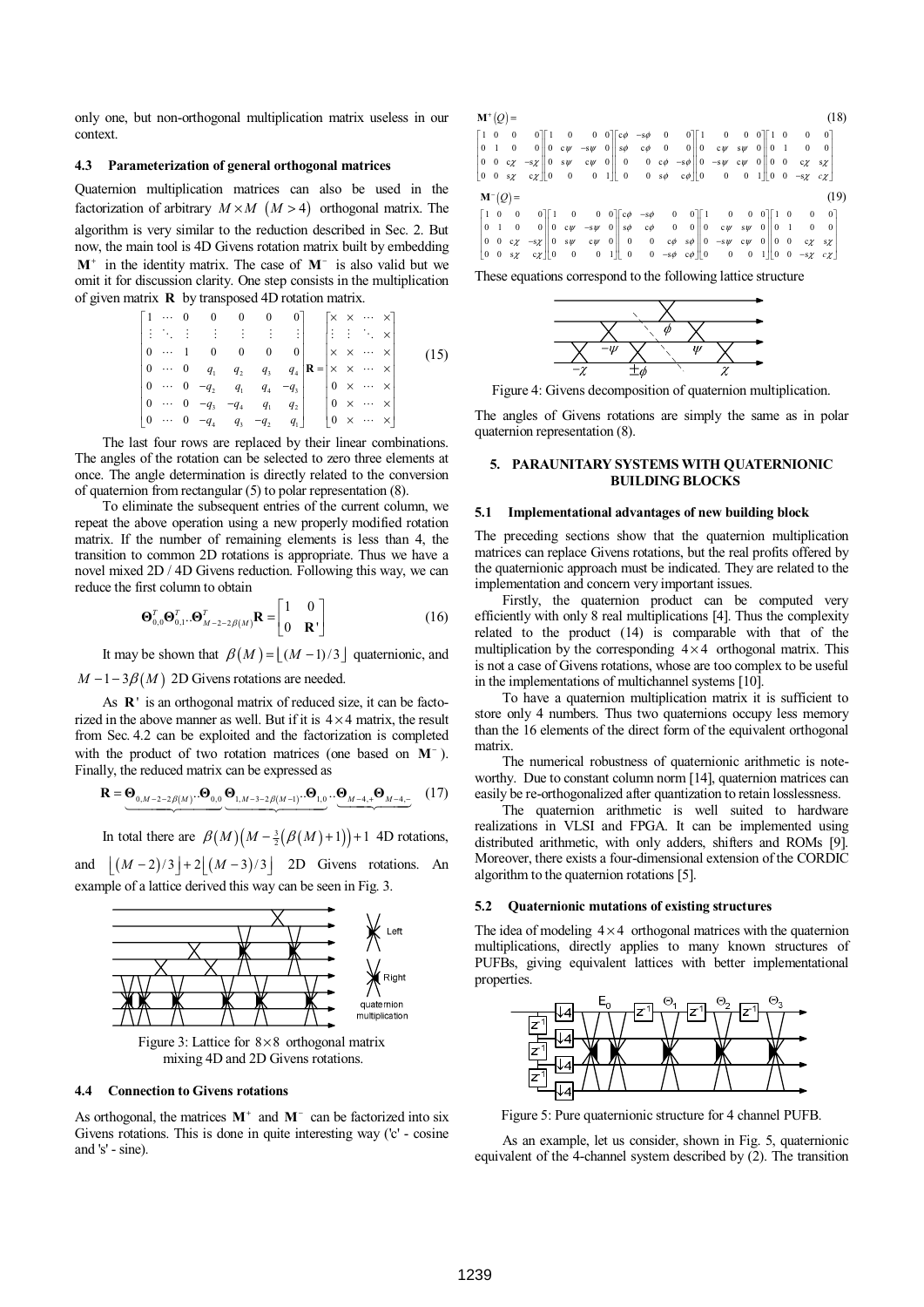only one, but non-orthogonal multiplication matrix useless in our context.

#### **4.3 Parameterization of general orthogonal matrices**

Quaternion multiplication matrices can also be used in the factorization of arbitrary  $M \times M$  ( $M > 4$ ) orthogonal matrix. The algorithm is very similar to the reduction described in Sec. 2. But now, the main tool is 4D Givens rotation matrix built by embedding **M**<sup>+</sup> in the identity matrix. The case of **M**<sup>−</sup> is also valid but we omit it for discussion clarity. One step consists in the multiplication of given matrix **R** by transposed 4D rotation matrix.

$$
\begin{bmatrix}\n1 & \cdots & 0 & 0 & 0 & 0 & 0 \\
\vdots & \ddots & \vdots & \vdots & \vdots & \vdots & \vdots \\
0 & \cdots & 1 & 0 & 0 & 0 & 0 \\
\cdots & 0 & q_1 & q_2 & q_3 & q_4 \\
\vdots & \ddots & \ddots & \ddots & \ddots & \vdots \\
0 & \cdots & 0 & -q_2 & q_1 & q_4 & -q_3 \\
\cdots & \cdots & \cdots & \cdots & \cdots & \cdots & \vdots \\
0 & \cdots & 0 & -q_3 & -q_4 & q_1 & q_2 \\
\vdots & \ddots & \ddots & \ddots & \ddots & \ddots & \vdots \\
0 & \cdots & 0 & -q_4 & q_3 & -q_2 & q_1\n\end{bmatrix}\n\mathbf{R} =\n\begin{bmatrix}\nx & x & \cdots & x \\
x & x & \cdots & x \\
x & x & \cdots & x \\
0 & x & \cdots & x \\
0 & x & \cdots & x \\
0 & x & \cdots & x\n\end{bmatrix}
$$
\n(15)

The last four rows are replaced by their linear combinations. The angles of the rotation can be selected to zero three elements at once. The angle determination is directly related to the conversion of quaternion from rectangular (5) to polar representation (8).

To eliminate the subsequent entries of the current column, we repeat the above operation using a new properly modified rotation matrix. If the number of remaining elements is less than 4, the transition to common 2D rotations is appropriate. Thus we have a novel mixed 2D / 4D Givens reduction. Following this way, we can reduce the first column to obtain

$$
\mathbf{\Theta}_{0,0}^T \mathbf{\Theta}_{0,1}^T \cdot \mathbf{\Theta}_{M-2-2\beta(M)}^T \mathbf{R} = \begin{bmatrix} 1 & 0 \\ 0 & \mathbf{R}^1 \end{bmatrix}
$$
 (16)

It may be shown that  $\beta(M) = |(M-1)/3|$  quaternionic, and

#### $M - 1 - 3\beta(M)$  2D Givens rotations are needed.

As **R**' is an orthogonal matrix of reduced size, it can be factorized in the above manner as well. But if it is  $4 \times 4$  matrix, the result from Sec. 4.2 can be exploited and the factorization is completed with the product of two rotation matrices (one based on **M**<sup>−</sup> ). Finally, the reduced matrix can be expressed as

$$
\mathbf{R} = \underbrace{\mathbf{\Theta}_{0,M-2-2\beta(M)}...\mathbf{\Theta}_{0,0}}_{\mathbf{0},M-3-2\beta(M-1)}...\mathbf{\Theta}_{1,0}}_{\mathbf{0},\mathbf{0}}...\underbrace{\mathbf{\Theta}_{M-4,+}\mathbf{\Theta}_{M-4,-}}_{\mathbf{0},\mathbf{0},\mathbf{1}} \quad (17)
$$

In total there are  $\beta(M) (M - \frac{3}{2} (\beta(M) + 1)) + 1$  4D rotations,

and  $|(M-2)/3|+2|(M-3)/3|$  2D Givens rotations. An example of a lattice derived this way can be seen in Fig. 3.



Figure 3: Lattice for  $8 \times 8$  orthogonal matrix mixing 4D and 2D Givens rotations.

#### **4.4 Connection to Givens rotations**

As orthogonal, the matrices **M**<sup>+</sup> and **M**<sup>−</sup> can be factorized into six Givens rotations. This is done in quite interesting way ('c' - cosine and 's' - sine).

| $\mathbf{M}^{\dagger}(Q)$ = |  |                     |  |  |  |  |                                                                                                                                                                                                                                                                                                                                                                                                               |  |  |  |  |  |  |  | (18) |      |  |
|-----------------------------|--|---------------------|--|--|--|--|---------------------------------------------------------------------------------------------------------------------------------------------------------------------------------------------------------------------------------------------------------------------------------------------------------------------------------------------------------------------------------------------------------------|--|--|--|--|--|--|--|------|------|--|
|                             |  |                     |  |  |  |  | $\begin{bmatrix} 1 & 0 & 0 & 0 \\ 0 & 1 & 0 & 0 \end{bmatrix} \begin{bmatrix} 1 & 0 & 0 & 0 \\ 0 & c\psi & -s\psi & 0 \end{bmatrix} \begin{bmatrix} c\phi & -s\phi & 0 & 0 \\ s\phi & c\phi & 0 & 0 \end{bmatrix} \begin{bmatrix} 1 & 0 & 0 & 0 \\ 0 & c\psi & s\psi & 0 \end{bmatrix} \begin{bmatrix} 1 & 0 & 0 & 0 \\ 0 & 1 & 0 & 0 \end{bmatrix}$                                                          |  |  |  |  |  |  |  |      |      |  |
|                             |  | $\mathbf{M}^-(Q)$ = |  |  |  |  | $\begin{bmatrix} 0 & 0 & c z & -s z & 0 & s w & c w & 0 \\ 0 & 0 & s z & c z & 0 & 0 & 0 & 1 \end{bmatrix} \begin{bmatrix} 0 & 0 & c \phi & -s \phi & 0 & -s w & c w & 0 & 0 & 0 & c z & s z \\ 0 & 0 & s \phi & c \phi & 0 & 0 & 0 & 1 & 0 & -s z & c z \end{bmatrix}$                                                                                                                                       |  |  |  |  |  |  |  |      | (19) |  |
|                             |  |                     |  |  |  |  | $\begin{bmatrix} 1 & 0 & 0 & 0 \\ 0 & 1 & 0 & 0 \\ 0 & 0 & c\chi & -s\chi \\ 0 & 0 & s\chi & c\chi \\ \end{bmatrix} \begin{bmatrix} 1 & 0 & 0 & 0 \\ 0 & c\psi & -s\psi & 0 \\ 0 & s\psi & c\psi & 0 \\ 0 & 0 & 0 & 1 \\ \end{bmatrix} \begin{bmatrix} c\phi & -s\phi & 0 & 0 \\ s\phi & c\phi & 0 & 0 \\ 0 & 0 & c\phi & s\phi \\ 0 & 0 & -s\psi & c\psi & 0 \\ 0 & 0 & 0 & 1 \end{bmatrix} \begin{bmatrix}$ |  |  |  |  |  |  |  |      |      |  |

These equations correspond to the following lattice structure



Figure 4: Givens decomposition of quaternion multiplication.

The angles of Givens rotations are simply the same as in polar quaternion representation (8).

#### **5. PARAUNITARY SYSTEMS WITH QUATERNIONIC BUILDING BLOCKS**

#### **5.1 Implementational advantages of new building block**

The preceding sections show that the quaternion multiplication matrices can replace Givens rotations, but the real profits offered by the quaternionic approach must be indicated. They are related to the implementation and concern very important issues.

Firstly, the quaternion product can be computed very efficiently with only 8 real multiplications [4]. Thus the complexity related to the product (14) is comparable with that of the multiplication by the corresponding  $4 \times 4$  orthogonal matrix. This is not a case of Givens rotations, whose are too complex to be useful in the implementations of multichannel systems [10].

To have a quaternion multiplication matrix it is sufficient to store only 4 numbers. Thus two quaternions occupy less memory than the 16 elements of the direct form of the equivalent orthogonal matrix.

The numerical robustness of quaternionic arithmetic is noteworthy. Due to constant column norm [14], quaternion matrices can easily be re-orthogonalized after quantization to retain losslessness.

The quaternion arithmetic is well suited to hardware realizations in VLSI and FPGA. It can be implemented using distributed arithmetic, with only adders, shifters and ROMs [9]. Moreover, there exists a four-dimensional extension of the CORDIC algorithm to the quaternion rotations [5].

#### **5.2 Quaternionic mutations of existing structures**

The idea of modeling  $4 \times 4$  orthogonal matrices with the quaternion multiplications, directly applies to many known structures of PUFBs, giving equivalent lattices with better implementational properties.



Figure 5: Pure quaternionic structure for 4 channel PUFB.

As an example, let us consider, shown in Fig. 5, quaternionic equivalent of the 4-channel system described by (2). The transition